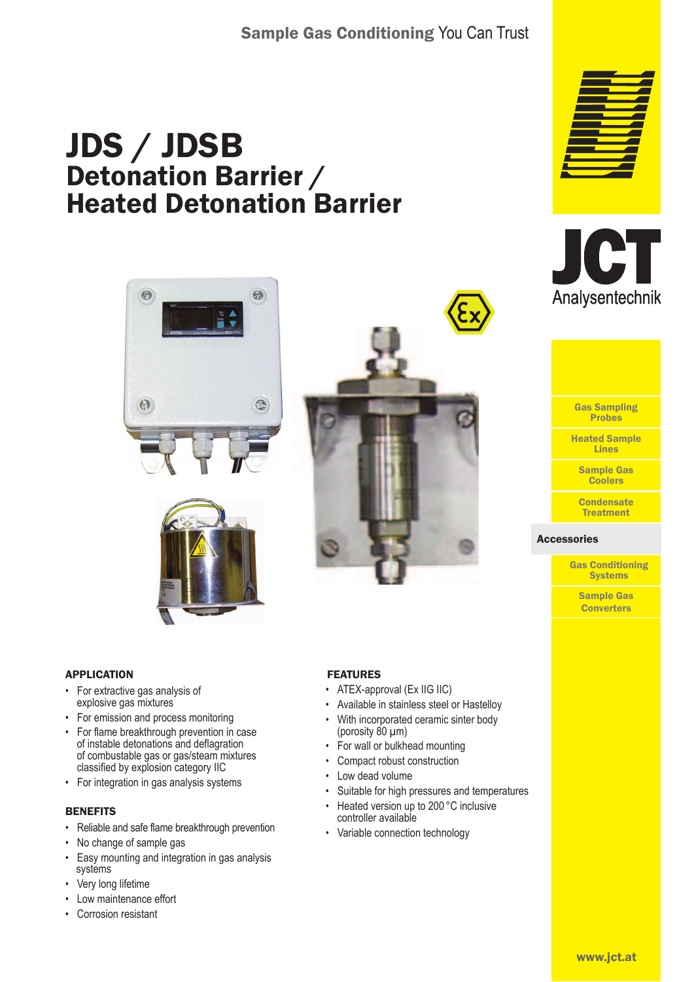# JDS / JDSB Detonation Barrier / Heated Detonation Barrier







- For extractive gas analysis of explosive gas mixtures
- For emission and process monitoring
- For flame breakthrough prevention in case of instable detonations and deflagration of combustable gas or gas/steam mixtures classified by explosion category IIC
- For integration in gas analysis systems

### **BENEFITS**

- Reliable and safe flame breakthrough prevention
- No change of sample gas
- Easy mounting and integration in gas analysis systems
- Very long lifetime
- Low maintenance effort
- Corrosion resistant

#### FEATURES

- ATEX-approval (Ex IIG IIC)
- Available in stainless steel or Hastelloy
- With incorporated ceramic sinter body (porosity 80 µm)
- For wall or bulkhead mounting
- Compact robust construction
- Low dead volume
- Suitable for high pressures and temperatures
- Heated version up to 200 °C inclusive controller available
- Variable connection technology







Gas Sampling Probes

Heated Sample Lines

> Sample Gas **Coolers**

**Condensate Treatment** 

#### Accessories Accessories

Gas Conditioning **Systems** 

> Sample Gas **Converters**